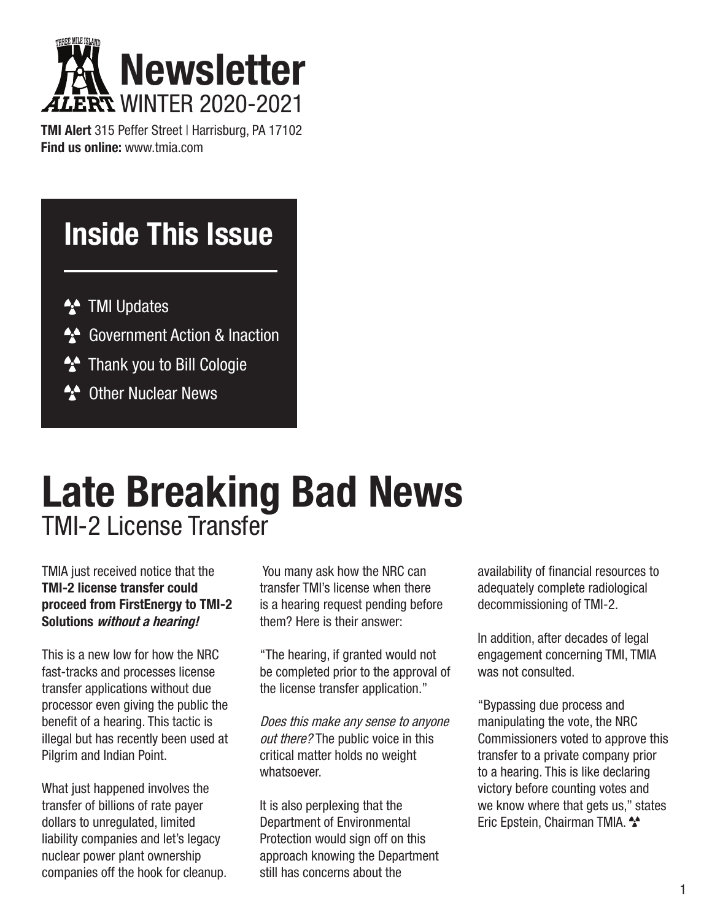

TMI Alert 315 Peffer Street | Harrisburg, PA 17102 Find us online: www.tmia.com

### Inside This Issue

- <sup>1</sup> TMI Updates
- <sup>1</sup> Government Action & Inaction
- <sup>2</sup> Thank you to Bill Cologie
- <sup>2</sup><sup>t</sup> Other Nuclear News

### Late Breaking Bad News TMI-2 License Transfer

### TMIA just received notice that the TMI-2 license transfer could proceed from FirstEnergy to TMI-2 Solutions without a hearing!

This is a new low for how the NRC fast-tracks and processes license transfer applications without due processor even giving the public the benefit of a hearing. This tactic is illegal but has recently been used at Pilgrim and Indian Point.

What just happened involves the transfer of billions of rate payer dollars to unregulated, limited liability companies and let's legacy nuclear power plant ownership companies off the hook for cleanup.

 You many ask how the NRC can transfer TMI's license when there is a hearing request pending before them? Here is their answer:

"The hearing, if granted would not be completed prior to the approval of the license transfer application."

Does this make any sense to anyone out there? The public voice in this critical matter holds no weight whatsoever.

It is also perplexing that the Department of Environmental Protection would sign off on this approach knowing the Department still has concerns about the

availability of financial resources to adequately complete radiological decommissioning of TMI-2.

In addition, after decades of legal engagement concerning TMI, TMIA was not consulted.

"Bypassing due process and manipulating the vote, the NRC Commissioners voted to approve this transfer to a private company prior to a hearing. This is like declaring victory before counting votes and we know where that gets us," states Eric Epstein, Chairman TMIA. <sup>44</sup>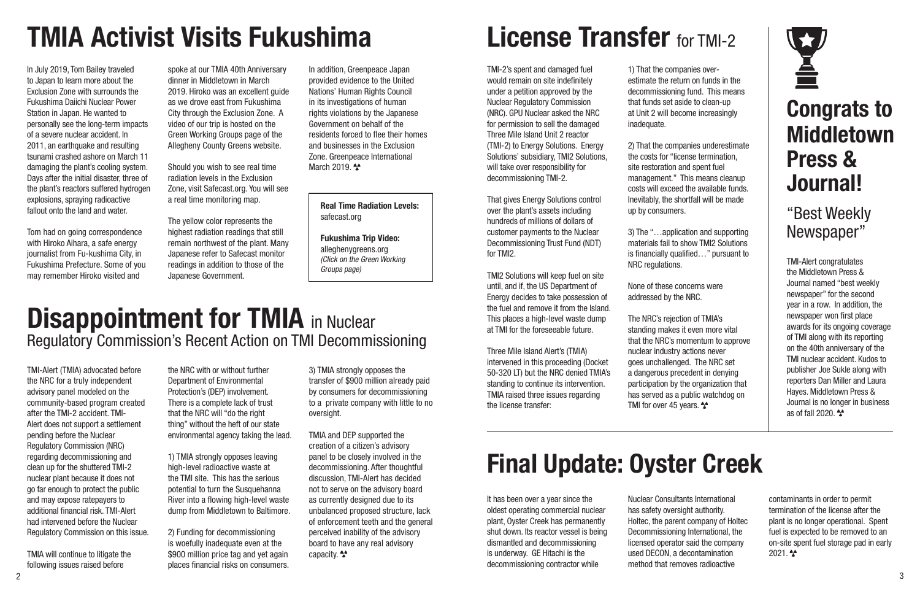In July 2019, Tom Bailey traveled to Japan to learn more about the Exclusion Zone with surrounds the Fukushima Daiichi Nuclear Power Station in Japan. He wanted to personally see the long-term impacts of a severe nuclear accident. In 2011, an earthquake and resulting tsunami crashed ashore on March 11 damaging the plant's cooling system. Days after the initial disaster, three of the plant's reactors suffered hydrogen explosions, spraying radioactive fallout onto the land and water.

Tom had on going correspondence with Hiroko Aihara, a safe energy journalist from Fu-kushima City, in Fukushima Prefecture. Some of you may remember Hiroko visited and

In addition, Greenpeace Japan provided evidence to the United Nations' Human Rights Council in its investigations of human rights violations by the Japanese Government on behalf of the residents forced to flee their homes and businesses in the Exclusion Zone. Greenpeace International March 2019.  $\rightarrow$ 

spoke at our TMIA 40th Anniversary dinner in Middletown in March 2019. Hiroko was an excellent guide as we drove east from Fukushima City through the Exclusion Zone. A video of our trip is hosted on the Green Working Groups page of the Allegheny County Greens website.

Should you wish to see real time radiation levels in the Exclusion Zone, visit Safecast.org. You will see a real time monitoring map.

The yellow color represents the highest radiation readings that still remain northwest of the plant. Many Japanese refer to Safecast monitor readings in addition to those of the Japanese Government.

> TMIA and DEP supported the creation of a citizen's advisory panel to be closely involved in the decommissioning. After thoughtful discussion, TMI-Alert has decided not to serve on the advisory board as currently designed due to its unbalanced proposed structure, lack of enforcement teeth and the general perceived inability of the advisory board to have any real advisory capacity. <sup>44</sup>

# License Transfer for TMI-2

# TMIA Activist Visits Fukushima

### **Disappointment for TMIA** in Nuclear Regulatory Commission's Recent Action on TMI Decommissioning

TMI-Alert (TMIA) advocated before the NRC for a truly independent advisory panel modeled on the community-based program created after the TMI-2 accident. TMI-Alert does not support a settlement pending before the Nuclear Regulatory Commission (NRC) regarding decommissioning and clean up for the shuttered TMI-2 nuclear plant because it does not go far enough to protect the public and may expose ratepayers to additional financial risk. TMI-Alert had intervened before the Nuclear Regulatory Commission on this issue.

TMIA will continue to litigate the following issues raised before

the NRC with or without further Department of Environmental Protection's (DEP) involvement. There is a complete lack of trust that the NRC will "do the right thing" without the heft of our state environmental agency taking the lead.

1) TMIA strongly opposes leaving high-level radioactive waste at the TMI site. This has the serious potential to turn the Susquehanna River into a flowing high-level waste dump from Middletown to Baltimore.

The NRC's rejection of TMIA's standing makes it even more vital that the NRC's momentum to approve nuclear industry actions never goes unchallenged. The NRC set a dangerous precedent in denying participation by the organization that has served as a public watchdog on TMI for over 45 years.

2) Funding for decommissioning is woefully inadequate even at the \$900 million price tag and yet again places financial risks on consumers. 3) TMIA strongly opposes the transfer of \$900 million already paid by consumers for decommissioning to a private company with little to no oversight.

> contaminants in order to permit termination of the license after the plant is no longer operational. Spent fuel is expected to be removed to an on-site spent fuel storage pad in early  $2021.$   $\rightarrow$

# É Congrats to Middletown Press & Journal!

Real Time Radiation Levels: safecast.org

Fukushima Trip Video: alleghenygreens.org (Click on the Green Working Groups page)

TMI-2's spent and damaged fuel would remain on site indefinitely under a petition approved by the Nuclear Regulatory Commission (NRC). GPU Nuclear asked the NRC for permission to sell the damaged Three Mile Island Unit 2 reactor (TMI-2) to Energy Solutions. Energy Solutions' subsidiary, TMI2 Solutions, will take over responsibility for decommissioning TMI-2.

That gives Energy Solutions control over the plant's assets including hundreds of millions of dollars of customer payments to the Nuclear Decommissioning Trust Fund (NDT) for TMI2.

TMI2 Solutions will keep fuel on site until, and if, the US Department of Energy decides to take possession of the fuel and remove it from the Island. This places a high-level waste dump at TMI for the foreseeable future.

Three Mile Island Alert's (TMIA) intervened in this proceeding (Docket 50-320 LT) but the NRC denied TMIA's standing to continue its intervention. TMIA raised three issues regarding the license transfer:

1) That the companies overestimate the return on funds in the decommissioning fund. This means that funds set aside to clean-up at Unit 2 will become increasingly inadequate.

2) That the companies underestimate the costs for "license termination, site restoration and spent fuel management." This means cleanup costs will exceed the available funds. Inevitably, the shortfall will be made up by consumers.

3) The "…application and supporting materials fail to show TMI2 Solutions is financially qualified…" pursuant to NRC regulations.

None of these concerns were addressed by the NRC.

# Final Update: Oyster Creek

It has been over a year since the oldest operating commercial nuclear plant, Oyster Creek has permanently shut down. Its reactor vessel is being dismantled and decommissioning is underway. GE Hitachi is the decommissioning contractor while

Nuclear Consultants International has safety oversight authority. Holtec, the parent company of Holtec Decommissioning International, the licensed operator said the company used DECON, a decontamination method that removes radioactive

### "Best Weekly Newspaper"

TMI-Alert congratulates the Middletown Press & Journal named "best weekly newspaper" for the second year in a row. In addition, the newspaper won first place awards for its ongoing coverage of TMI along with its reporting on the 40th anniversary of the TMI nuclear accident. Kudos to publisher Joe Sukle along with reporters Dan Miller and Laura Hayes. Middletown Press & Journal is no longer in business as of fall 2020.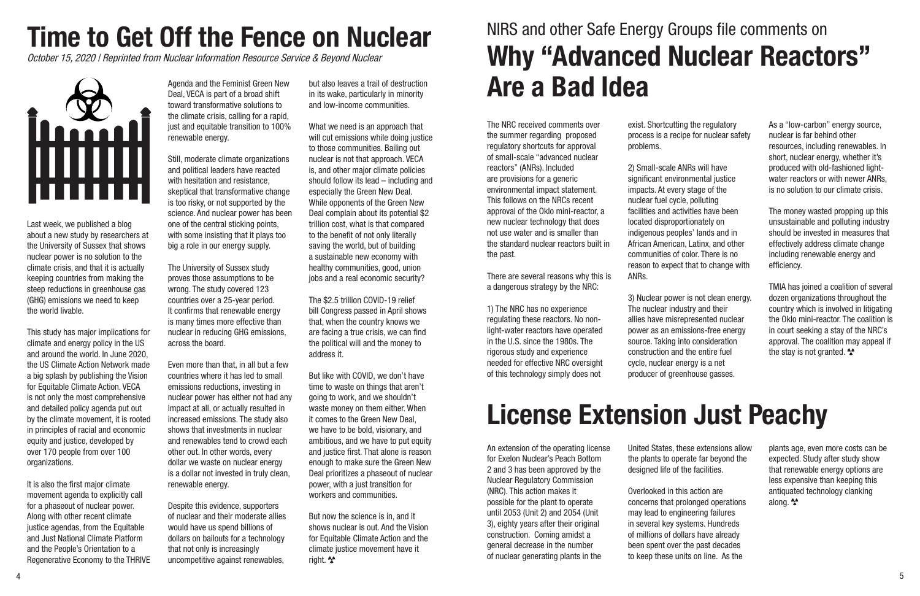Last week, we published a blog about a new study by researchers at the University of Sussex that shows nuclear power is no solution to the climate crisis, and that it is actually keeping countries from making the steep reductions in greenhouse gas (GHG) emissions we need to keep the world livable.

This study has major implications for climate and energy policy in the US and around the world. In June 2020, the US Climate Action Network made a big splash by publishing the Vision for Equitable Climate Action. VECA is not only the most comprehensive and detailed policy agenda put out by the climate movement, it is rooted in principles of racial and economic equity and justice, developed by over 170 people from over 100 organizations.

It is also the first major climate movement agenda to explicitly call for a phaseout of nuclear power. Along with other recent climate justice agendas, from the Equitable and Just National Climate Platform and the People's Orientation to a Regenerative Economy to the THRIVE

Agenda and the Feminist Green New Deal, VECA is part of a broad shift toward transformative solutions to the climate crisis, calling for a rapid, just and equitable transition to 100% renewable energy.

Still, moderate climate organizations and political leaders have reacted with hesitation and resistance. skeptical that transformative change is too risky, or not supported by the science. And nuclear power has been one of the central sticking points, with some insisting that it plays too big a role in our energy supply.

The University of Sussex study proves those assumptions to be wrong. The study covered 123 countries over a 25-year period. It confirms that renewable energy is many times more effective than nuclear in reducing GHG emissions, across the board.

> But now the science is in, and it shows nuclear is out. And the Vision for Equitable Climate Action and the climate justice movement have it right.  $\rightarrow$

Even more than that, in all but a few countries where it has led to small emissions reductions, investing in nuclear power has either not had any impact at all, or actually resulted in increased emissions. The study also shows that investments in nuclear and renewables tend to crowd each other out. In other words, every dollar we waste on nuclear energy is a dollar not invested in truly clean, renewable energy.

Despite this evidence, supporters of nuclear and their moderate allies would have us spend billions of dollars on bailouts for a technology that not only is increasingly uncompetitive against renewables,

but also leaves a trail of destruction in its wake, particularly in minority and low-income communities.

What we need is an approach that will cut emissions while doing justice to those communities. Bailing out nuclear is not that approach. VECA is, and other major climate policies should follow its lead – including and especially the Green New Deal. While opponents of the Green New Deal complain about its potential \$2 trillion cost, what is that compared to the benefit of not only literally saving the world, but of building a sustainable new economy with healthy communities, good, union jobs and a real economic security?

TMIA has joined a coalition of several dozen organizations throughout the country which is involved in litigating the Oklo mini-reactor. The coalition is in court seeking a stay of the NRC's approval. The coalition may appeal if the stay is not granted.  $\rightarrow$ 

The \$2.5 trillion COVID-19 relief bill Congress passed in April shows that, when the country knows we are facing a true crisis, we can find the political will and the money to address it.

> plants age, even more costs can be expected. Study after study show that renewable energy options are less expensive than keeping this antiquated technology clanking along.  $\rightarrow$

But like with COVID, we don't have time to waste on things that aren't going to work, and we shouldn't waste money on them either. When it comes to the Green New Deal, we have to be bold, visionary, and ambitious, and we have to put equity and justice first. That alone is reason enough to make sure the Green New Deal prioritizes a phaseout of nuclear power, with a just transition for workers and communities.

# Time to Get Off the Fence on Nuclear

October 15, 2020 | Reprinted from Nuclear Information Resource Service & Beyond Nuclear



The NRC received comments over the summer regarding proposed regulatory shortcuts for approval of small-scale "advanced nuclear reactors" (ANRs). Included are provisions for a generic environmental impact statement. This follows on the NRCs recent approval of the Oklo mini-reactor, a new nuclear technology that does not use water and is smaller than the standard nuclear reactors built in the past.

There are several reasons why this is a dangerous strategy by the NRC:

1) The NRC has no experience regulating these reactors. No nonlight-water reactors have operated in the U.S. since the 1980s. The rigorous study and experience needed for effective NRC oversight of this technology simply does not

exist. Shortcutting the regulatory process is a recipe for nuclear safety

problems.

2) Small-scale ANRs will have significant environmental justice impacts. At every stage of the nuclear fuel cycle, polluting facilities and activities have been located disproportionately on indigenous peoples' lands and in African American, Latinx, and other communities of color. There is no reason to expect that to change with ANRs.

3) Nuclear power is not clean energy. The nuclear industry and their allies have misrepresented nuclear power as an emissions-free energy source. Taking into consideration construction and the entire fuel cycle, nuclear energy is a net producer of greenhouse gasses.

As a "low-carbon" energy source, nuclear is far behind other resources, including renewables. In short, nuclear energy, whether it's produced with old-fashioned lightwater reactors or with newer ANRs, is no solution to our climate crisis.

The money wasted propping up this unsustainable and polluting industry should be invested in measures that effectively address climate change including renewable energy and efficiency.

## NIRS and other Safe Energy Groups file comments on Why "Advanced Nuclear Reactors" Are a Bad Idea

## License Extension Just Peachy

An extension of the operating license for Exelon Nuclear's Peach Bottom 2 and 3 has been approved by the Nuclear Regulatory Commission (NRC). This action makes it possible for the plant to operate until 2053 (Unit 2) and 2054 (Unit 3), eighty years after their original construction. Coming amidst a general decrease in the number of nuclear generating plants in the

United States, these extensions allow the plants to operate far beyond the designed life of the facilities.

Overlooked in this action are concerns that prolonged operations may lead to engineering failures in several key systems. Hundreds of millions of dollars have already been spent over the past decades to keep these units on line. As the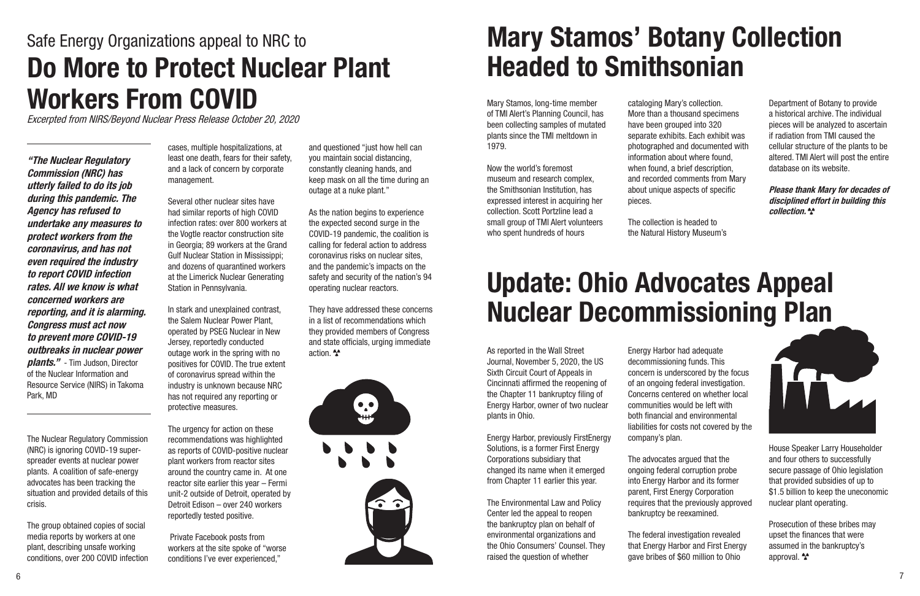"The Nuclear Regulatory Commission (NRC) has utterly failed to do its job during this pandemic. The Agency has refused to undertake any measures to protect workers from the coronavirus, and has not even required the industry to report COVID infection rates. All we know is what concerned workers are reporting, and it is alarming. Congress must act now to prevent more COVID-19 outbreaks in nuclear power plants." - Tim Judson, Director of the Nuclear Information and Resource Service (NIRS) in Takoma Park, MD

The Nuclear Regulatory Commission (NRC) is ignoring COVID-19 superspreader events at nuclear power plants. A coalition of safe-energy advocates has been tracking the situation and provided details of this crisis.

The group obtained copies of social media reports by workers at one plant, describing unsafe working conditions, over 200 COVID infection

cases, multiple hospitalizations, at least one death, fears for their safety, and a lack of concern by corporate management.

Several other nuclear sites have had similar reports of high COVID infection rates: over 800 workers at the Vogtle reactor construction site in Georgia; 89 workers at the Grand Gulf Nuclear Station in Mississippi; and dozens of quarantined workers at the Limerick Nuclear Generating Station in Pennsylvania.

> They have addressed these concerns in a list of recommendations which they provided members of Congress and state officials, urging immediate action.  $\hat{A}$



In stark and unexplained contrast, the Salem Nuclear Power Plant, operated by PSEG Nuclear in New Jersey, reportedly conducted outage work in the spring with no positives for COVID. The true extent of coronavirus spread within the industry is unknown because NRC has not required any reporting or protective measures.

The urgency for action on these recommendations was highlighted as reports of COVID-positive nuclear plant workers from reactor sites around the country came in. At one reactor site earlier this year – Fermi unit-2 outside of Detroit, operated by Detroit Edison – over 240 workers reportedly tested positive.

Please thank Mary for decades of disciplined effort in building this collection.<sup>\*\*</sup>



 Private Facebook posts from workers at the site spoke of "worse conditions I've ever experienced,"

and questioned "just how hell can you maintain social distancing, constantly cleaning hands, and keep mask on all the time during an outage at a nuke plant."

As the nation begins to experience the expected second surge in the COVID-19 pandemic, the coalition is calling for federal action to address coronavirus risks on nuclear sites, and the pandemic's impacts on the safety and security of the nation's 94 operating nuclear reactors.

> Prosecution of these bribes may upset the finances that were assumed in the bankruptcy's approval.  $^{\bullet\bullet}$

## Safe Energy Organizations appeal to NRC to Do More to Protect Nuclear Plant Workers From COVID

Excerpted from NIRS/Beyond Nuclear Press Release October 20, 2020

## Mary Stamos' Botany Collection Headed to Smithsonian

Mary Stamos, long-time member of TMI Alert's Planning Council, has been collecting samples of mutated plants since the TMI meltdown in 1979.

Now the world's foremost museum and research complex, the Smithsonian Institution, has expressed interest in acquiring her collection. Scott Portzline lead a small group of TMI Alert volunteers who spent hundreds of hours

cataloging Mary's collection. More than a thousand specimens have been grouped into 320 separate exhibits. Each exhibit was photographed and documented with information about where found, when found, a brief description, and recorded comments from Mary about unique aspects of specific pieces.

The collection is headed to the Natural History Museum's

Department of Botany to provide a historical archive. The individual pieces will be analyzed to ascertain if radiation from TMI caused the cellular structure of the plants to be altered. TMI Alert will post the entire database on its website.

## Update: Ohio Advocates Appeal Nuclear Decommissioning Plan

As reported in the Wall Street Journal, November 5, 2020, the US Sixth Circuit Court of Appeals in Cincinnati affirmed the reopening of the Chapter 11 bankruptcy filing of Energy Harbor, owner of two nuclear plants in Ohio.

Energy Harbor, previously FirstEnergy Solutions, is a former First Energy Corporations subsidiary that changed its name when it emerged from Chapter 11 earlier this year.

The Environmental Law and Policy Center led the appeal to reopen the bankruptcy plan on behalf of environmental organizations and the Ohio Consumers' Counsel. They raised the question of whether

Energy Harbor had adequate decommissioning funds. This concern is underscored by the focus of an ongoing federal investigation. Concerns centered on whether local communities would be left with both financial and environmental liabilities for costs not covered by the company's plan.

The advocates argued that the ongoing federal corruption probe into Energy Harbor and its former parent, First Energy Corporation requires that the previously approved bankruptcy be reexamined.

The federal investigation revealed that Energy Harbor and First Energy gave bribes of \$60 million to Ohio

House Speaker Larry Householder and four others to successfully secure passage of Ohio legislation that provided subsidies of up to \$1.5 billion to keep the uneconomic nuclear plant operating.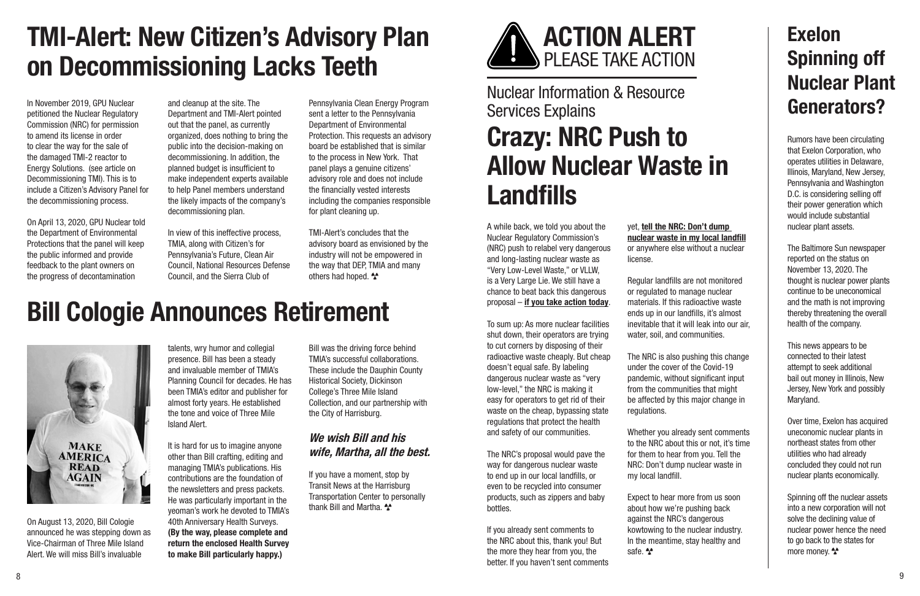## TMI-Alert: New Citizen's Advisory Plan on Decommissioning Lacks Teeth

In November 2019, GPU Nuclear petitioned the Nuclear Regulatory Commission (NRC) for permission to amend its license in order to clear the way for the sale of the damaged TMI-2 reactor to Energy Solutions. (see article on Decommissioning TMI). This is to include a Citizen's Advisory Panel for the decommissioning process.

On April 13, 2020, GPU Nuclear told the Department of Environmental Protections that the panel will keep the public informed and provide feedback to the plant owners on the progress of decontamination

TMI-Alert's concludes that the advisory board as envisioned by the industry will not be empowered in the way that DEP, TMIA and many others had hoped.  $^{\bullet\bullet}$ 

and cleanup at the site. The Department and TMI-Alert pointed out that the panel, as currently organized, does nothing to bring the public into the decision-making on decommissioning. In addition, the planned budget is insufficient to make independent experts available to help Panel members understand the likely impacts of the company's decommissioning plan.

In view of this ineffective process, TMIA, along with Citizen's for Pennsylvania's Future, Clean Air Council, National Resources Defense Council, and the Sierra Club of

Pennsylvania Clean Energy Program sent a letter to the Pennsylvania Department of Environmental Protection. This requests an advisory board be established that is similar to the process in New York. That panel plays a genuine citizens' advisory role and does not include the financially vested interests including the companies responsible for plant cleaning up.

## Bill Cologie Announces Retirement



On August 13, 2020, Bill Cologie announced he was stepping down as Vice-Chairman of Three Mile Island Alert. We will miss Bill's invaluable

talents, wry humor and collegial presence. Bill has been a steady and invaluable member of TMIA's Planning Council for decades. He has been TMIA's editor and publisher for almost forty years. He established the tone and voice of Three Mile Island Alert.

It is hard for us to imagine anyone other than Bill crafting, editing and managing TMIA's publications. His contributions are the foundation of the newsletters and press packets. He was particularly important in the yeoman's work he devoted to TMIA's 40th Anniversary Health Surveys. (By the way, please complete and return the enclosed Health Survey

Expect to hear more from us soon about how we're pushing back against the NRC's dangerous kowtowing to the nuclear industry. In the meantime, stay healthy and safe.<sup>\*\*</sup>

to make Bill particularly happy.)

Bill was the driving force behind TMIA's successful collaborations. These include the Dauphin County Historical Society, Dickinson College's Three Mile Island Collection, and our partnership with the City of Harrisburg.

### We wish Bill and his wife, Martha, all the best.

If you have a moment, stop by Transit News at the Harrisburg Transportation Center to personally thank Bill and Martha.

Spinning off the nuclear assets into a new corporation will not solve the declining value of nuclear power hence the need to go back to the states for more money.  $^{\bullet\bullet}$ 

Nuclear Information & Resource Services Explains

## Crazy: NRC Push to Allow Nuclear Waste in Landfills

A while back, we told you about the Nuclear Regulatory Commission's (NRC) push to relabel very dangerous and long-lasting nuclear waste as "Very Low-Level Waste," or VLLW, is a Very Large Lie. We still have a chance to beat back this dangerous proposal – if you take action today.

To sum up: As more nuclear facilities shut down, their operators are trying to cut corners by disposing of their radioactive waste cheaply. But cheap doesn't equal safe. By labeling dangerous nuclear waste as "very low-level," the NRC is making it easy for operators to get rid of their waste on the cheap, bypassing state regulations that protect the health and safety of our communities.

The NRC's proposal would pave the way for dangerous nuclear waste to end up in our local landfills, or even to be recycled into consumer products, such as zippers and baby bottles.

If you already sent comments to the NRC about this, thank you! But the more they hear from you, the better. If you haven't sent comments yet, tell the NRC: Don't dump nuclear waste in my local landfill or anywhere else without a nuclear

# license.

Regular landfills are not monitored or regulated to manage nuclear materials. If this radioactive waste ends up in our landfills, it's almost inevitable that it will leak into our air, water, soil, and communities.

The NRC is also pushing this change under the cover of the Covid-19 pandemic, without significant input from the communities that might be affected by this major change in regulations.

Whether you already sent comments to the NRC about this or not, it's time for them to hear from you. Tell the NRC: Don't dump nuclear waste in my local landfill.



### Exelon Spinning off Nuclear Plant Generators?

Rumors have been circulating that Exelon Corporation, who operates utilities in Delaware, Illinois, Maryland, New Jersey, Pennsylvania and Washington D.C. is considering selling off their power generation which would include substantial nuclear plant assets.

The Baltimore Sun newspaper reported on the status on November 13, 2020. The thought is nuclear power plants continue to be uneconomical and the math is not improving thereby threatening the overall health of the company.

This news appears to be connected to their latest attempt to seek additional bail out money in Illinois, New Jersey, New York and possibly Maryland.

Over time, Exelon has acquired uneconomic nuclear plants in northeast states from other utilities who had already concluded they could not run nuclear plants economically.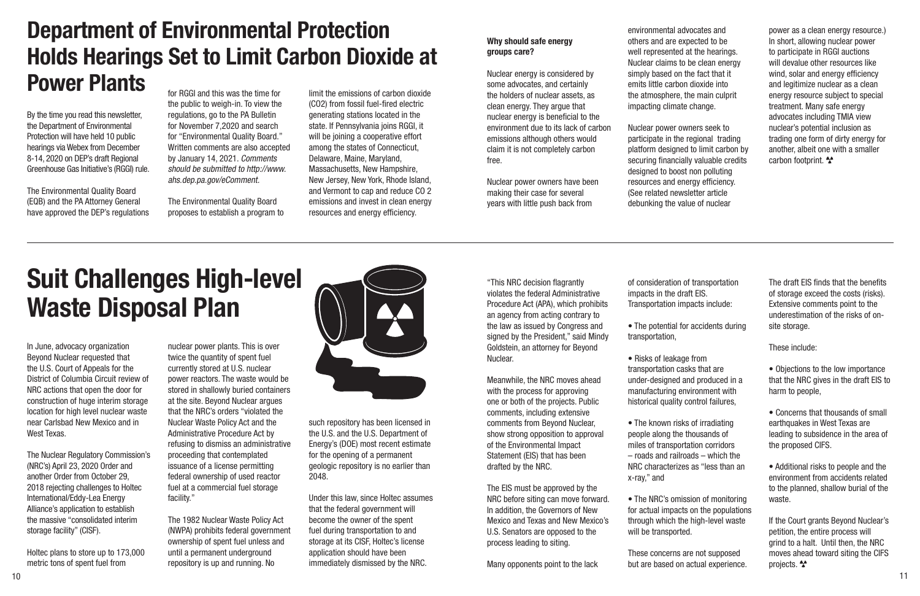### Department of Environmental Protection Holds Hearings Set to Limit Carbon Dioxide at Power Plants

By the time you read this newsletter, the Department of Environmental Protection will have held 10 public hearings via Webex from December 8-14, 2020 on DEP's draft Regional Greenhouse Gas Initiative's (RGGI) rule.

The Environmental Quality Board (EQB) and the PA Attorney General have approved the DEP's regulations

for RGGI and this was the time for the public to weigh-in. To view the regulations, go to the PA Bulletin for November 7,2020 and search for "Environmental Quality Board." Written comments are also accepted by January 14, 2021. Comments should be submitted to http://www. ahs.dep.pa.gov/eComment.

The Environmental Quality Board proposes to establish a program to limit the emissions of carbon dioxide (CO2) from fossil fuel-fired electric generating stations located in the state. If Pennsylvania joins RGGI, it will be joining a cooperative effort among the states of Connecticut, Delaware, Maine, Maryland, Massachusetts, New Hampshire, New Jersey, New York, Rhode Island, and Vermont to cap and reduce CO 2 emissions and invest in clean energy resources and energy efficiency.

## Suit Challenges High-level Waste Disposal Plan

In June, advocacy organization Beyond Nuclear requested that the U.S. Court of Appeals for the District of Columbia Circuit review of NRC actions that open the door for construction of huge interim storage location for high level nuclear waste near Carlsbad New Mexico and in West Texas.

The Nuclear Regulatory Commission's (NRC's) April 23, 2020 Order and another Order from October 29, 2018 rejecting challenges to Holtec International/Eddy-Lea Energy Alliance's application to establish the massive "consolidated interim storage facility" (CISF).

Holtec plans to store up to 173,000 metric tons of spent fuel from

• The potential for accidents during transportation,

• The known risks of irradiating people along the thousands of miles of transportation corridors – roads and railroads – which the NRC characterizes as "less than an x-ray," and

nuclear power plants. This is over twice the quantity of spent fuel currently stored at U.S. nuclear power reactors. The waste would be stored in shallowly buried containers at the site. Beyond Nuclear argues that the NRC's orders "violated the Nuclear Waste Policy Act and the Administrative Procedure Act by refusing to dismiss an administrative proceeding that contemplated issuance of a license permitting federal ownership of used reactor fuel at a commercial fuel storage facility."

• The NRC's omission of monitoring for actual impacts on the populations through which the high-level waste will be transported.

The 1982 Nuclear Waste Policy Act (NWPA) prohibits federal government ownership of spent fuel unless and until a permanent underground repository is up and running. No



If the Court grants Beyond Nuclear's petition, the entire process will grind to a halt. Until then, the NRC moves ahead toward siting the CIFS projects.

such repository has been licensed in the U.S. and the U.S. Department of Energy's (DOE) most recent estimate for the opening of a permanent geologic repository is no earlier than 2048.

Under this law, since Holtec assumes that the federal government will become the owner of the spent fuel during transportation to and storage at its CISF, Holtec's license application should have been immediately dismissed by the NRC.

power as a clean energy resource.) In short, allowing nuclear power to participate in RGGI auctions will devalue other resources like wind, solar and energy efficiency and legitimize nuclear as a clean energy resource subject to special treatment. Many safe energy advocates including TMIA view nuclear's potential inclusion as trading one form of dirty energy for another, albeit one with a smaller carbon footprint.  $\hat{A}$ 

"This NRC decision flagrantly violates the federal Administrative Procedure Act (APA), which prohibits an agency from acting contrary to the law as issued by Congress and signed by the President," said Mindy Goldstein, an attorney for Beyond Nuclear.

Meanwhile, the NRC moves ahead with the process for approving one or both of the projects. Public comments, including extensive comments from Beyond Nuclear, show strong opposition to approval of the Environmental Impact Statement (EIS) that has been drafted by the NRC.

The EIS must be approved by the NRC before siting can move forward. In addition, the Governors of New Mexico and Texas and New Mexico's U.S. Senators are opposed to the process leading to siting.

Many opponents point to the lack

of consideration of transportation impacts in the draft EIS. Transportation impacts include:

• Risks of leakage from transportation casks that are under-designed and produced in a manufacturing environment with historical quality control failures,

These concerns are not supposed but are based on actual experience. The draft EIS finds that the benefits of storage exceed the costs (risks). Extensive comments point to the underestimation of the risks of onsite storage.

These include:

• Objections to the low importance that the NRC gives in the draft EIS to harm to people,

• Concerns that thousands of small earthquakes in West Texas are leading to subsidence in the area of the proposed CIFS.

• Additional risks to people and the environment from accidents related to the planned, shallow burial of the waste.

### Why should safe energy groups care?

Nuclear energy is considered by some advocates, and certainly the holders of nuclear assets, as clean energy. They argue that nuclear energy is beneficial to the environment due to its lack of carbon emissions although others would claim it is not completely carbon free.

Nuclear power owners have been making their case for several years with little push back from

environmental advocates and others and are expected to be well represented at the hearings. Nuclear claims to be clean energy simply based on the fact that it emits little carbon dioxide into the atmosphere, the main culprit impacting climate change.

Nuclear power owners seek to participate in the regional trading platform designed to limit carbon by securing financially valuable credits designed to boost non polluting resources and energy efficiency. (See related newsletter article debunking the value of nuclear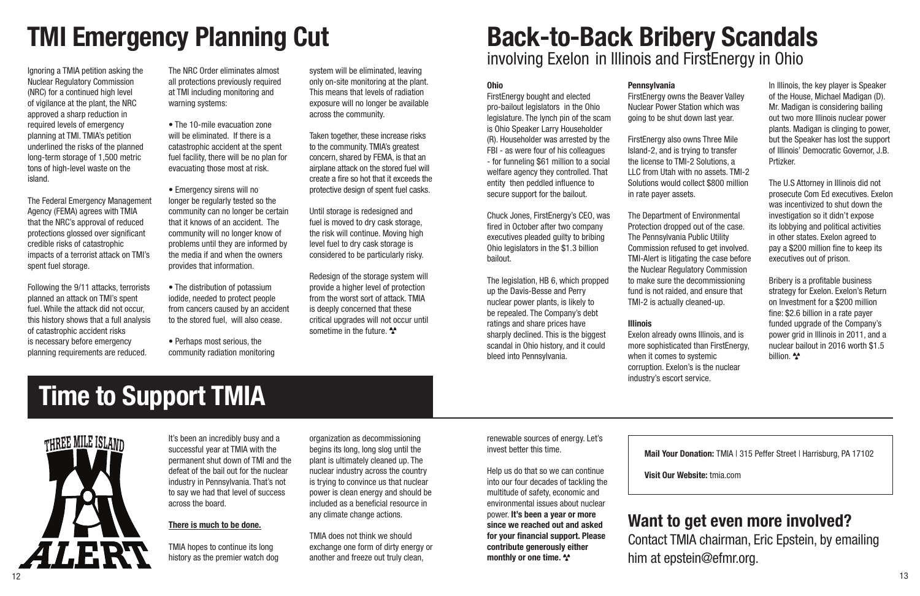It's been an incredibly busy and a successful year at TMIA with the permanent shut down of TMI and the defeat of the bail out for the nuclear industry in Pennsylvania. That's not to say we had that level of success across the board.

### There is much to be done.

TMIA hopes to continue its long history as the premier watch dog organization as decommissioning begins its long, long slog until the plant is ultimately cleaned up. The nuclear industry across the country is trying to convince us that nuclear power is clean energy and should be included as a beneficial resource in any climate change actions.

TMIA does not think we should exchange one form of dirty energy or another and freeze out truly clean,

## Time to Support TMIA



# TMI Emergency Planning Cut

Ignoring a TMIA petition asking the Nuclear Regulatory Commission (NRC) for a continued high level of vigilance at the plant, the NRC approved a sharp reduction in required levels of emergency planning at TMI. TMIA's petition underlined the risks of the planned long-term storage of 1,500 metric tons of high-level waste on the island.

The Federal Emergency Management Agency (FEMA) agrees with TMIA that the NRC's approval of reduced protections glossed over significant credible risks of catastrophic impacts of a terrorist attack on TMI's spent fuel storage.

Redesign of the storage system will provide a higher level of protection from the worst sort of attack. TMIA is deeply concerned that these critical upgrades will not occur until sometime in the future.  $\clubsuit$ 

Following the 9/11 attacks, terrorists planned an attack on TMI's spent fuel. While the attack did not occur, this history shows that a full analysis of catastrophic accident risks is necessary before emergency planning requirements are reduced.

The NRC Order eliminates almost all protections previously required at TMI including monitoring and warning systems:

- The 10-mile evacuation zone will be eliminated. If there is a catastrophic accident at the spent fuel facility, there will be no plan for evacuating those most at risk.
- Emergency sirens will no longer be regularly tested so the community can no longer be certain that it knows of an accident. The community will no longer know of problems until they are informed by the media if and when the owners provides that information.
- The distribution of potassium iodide, needed to protect people from cancers caused by an accident to the stored fuel, will also cease.
- Perhaps most serious, the community radiation monitoring

system will be eliminated, leaving only on-site monitoring at the plant. This means that levels of radiation exposure will no longer be available across the community.

Taken together, these increase risks to the community. TMIA's greatest concern, shared by FEMA, is that an airplane attack on the stored fuel will create a fire so hot that it exceeds the protective design of spent fuel casks.

> Bribery is a profitable business strategy for Exelon. Exelon's Return on Investment for a \$200 million fine: \$2.6 billion in a rate payer funded upgrade of the Company's power grid in Illinois in 2011, and a nuclear bailout in 2016 worth \$1.5 **billion.**

Mail Your Donation: TMIA | 315 Peffer Street | Harrisburg, PA 17102

Until storage is redesigned and fuel is moved to dry cask storage, the risk will continue. Moving high level fuel to dry cask storage is considered to be particularly risky.

> Help us do that so we can continue into our four decades of tackling the multitude of safety, economic and environmental issues about nuclear power. It's been a year or more since we reached out and asked for your financial support. Please contribute generously either monthly or one time.  $\hat{A}$

Visit Our Website: tmia.com

### Want to get even more involved? Contact TMIA chairman, Eric Epstein, by emailing him at epstein@efmr.org.

### Back-to-Back Bribery Scandals involving Exelon in Illinois and FirstEnergy in Ohio

### Ohio

FirstEnergy bought and elected pro-bailout legislators in the Ohio legislature. The lynch pin of the scam is Ohio Speaker Larry Householder (R). Householder was arrested by the FBI - as were four of his colleagues - for funneling \$61 million to a social welfare agency they controlled. That entity then peddled influence to secure support for the bailout.

Chuck Jones, FirstEnergy's CEO, was fired in October after two company executives pleaded guilty to bribing Ohio legislators in the \$1.3 billion bailout.

The legislation, HB 6, which propped up the Davis-Besse and Perry nuclear power plants, is likely to be repealed. The Company's debt ratings and share prices have sharply declined. This is the biggest scandal in Ohio history, and it could bleed into Pennsylvania.

Pennsylvania

FirstEnergy owns the Beaver Valley Nuclear Power Station which was going to be shut down last year.

FirstEnergy also owns Three Mile Island-2, and is trying to transfer the license to TMI-2 Solutions, a LLC from Utah with no assets. TMI-2 Solutions would collect \$800 million in rate payer assets.

The Department of Environmental Protection dropped out of the case. The Pennsylvania Public Utility Commission refused to get involved. TMI-Alert is litigating the case before the Nuclear Regulatory Commission to make sure the decommissioning fund is not raided, and ensure that TMI-2 is actually cleaned-up.

### Illinois

Exelon already owns Illinois, and is more sophisticated than FirstEnergy, when it comes to systemic corruption. Exelon's is the nuclear industry's escort service.

In Illinois, the key player is Speaker of the House, Michael Madigan (D). Mr. Madigan is considering bailing out two more Illinois nuclear power plants. Madigan is clinging to power, but the Speaker has lost the support of Illinois' Democratic Governor, J.B. Prtizker.

The U.S Attorney in Illinois did not prosecute Com Ed executives. Exelon was incentivized to shut down the investigation so it didn't expose its lobbying and political activities in other states. Exelon agreed to pay a \$200 million fine to keep its executives out of prison.

renewable sources of energy. Let's invest better this time.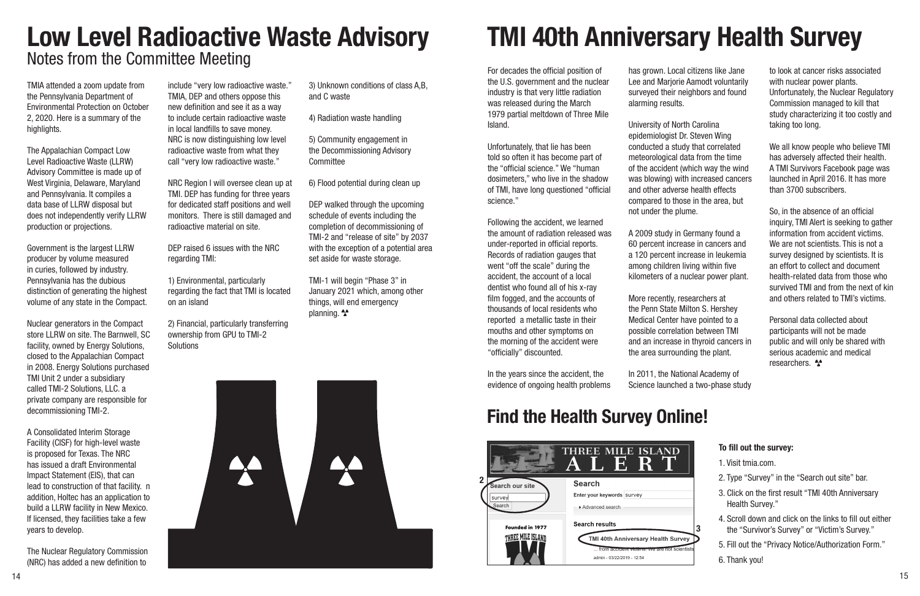### Low Level Radioactive Waste Advisory Notes from the Committee Meeting

TMIA attended a zoom update from the Pennsylvania Department of Environmental Protection on October 2, 2020. Here is a summary of the highlights.

The Appalachian Compact Low Level Radioactive Waste (LLRW) Advisory Committee is made up of West Virginia, Delaware, Maryland and Pennsylvania. It compiles a data base of LLRW disposal but does not independently verify LLRW production or projections.

Government is the largest LLRW producer by volume measured in curies, followed by industry. Pennsylvania has the dubious distinction of generating the highest volume of any state in the Compact.

Nuclear generators in the Compact store LLRW on site. The Barnwell, SC facility, owned by Energy Solutions, closed to the Appalachian Compact in 2008. Energy Solutions purchased TMI Unit 2 under a subsidiary called TMI-2 Solutions, LLC. a private company are responsible for decommissioning TMI-2.

2) Financial, particularly transferring ownership from GPU to TMI-2 **Solutions** 

A Consolidated Interim Storage Facility (CISF) for high-level waste is proposed for Texas. The NRC has issued a draft Environmental Impact Statement (EIS), that can lead to construction of that facility. n addition, Holtec has an application to build a LLRW facility in New Mexico. If licensed, they facilities take a few years to develop.

TMI-1 will begin "Phase 3" in January 2021 which, among other things, will end emergency planning.  $^{\bullet\bullet}$ 

The Nuclear Regulatory Commission (NRC) has added a new definition to

include "very low radioactive waste." TMIA, DEP and others oppose this new definition and see it as a way to include certain radioactive waste in local landfills to save money. NRC is now distinguishing low level radioactive waste from what they call "very low radioactive waste."

NRC Region I will oversee clean up at TMI. DEP has funding for three years for dedicated staff positions and well monitors. There is still damaged and radioactive material on site.

DEP raised 6 issues with the NRC regarding TMI:

1) Environmental, particularly regarding the fact that TMI is located on an island

3) Unknown conditions of class A,B, and C waste

4) Radiation waste handling

5) Community engagement in the Decommissioning Advisory Committee

6) Flood potential during clean up

DEP walked through the upcoming schedule of events including the completion of decommissioning of TMI-2 and "release of site" by 2037 with the exception of a potential area set aside for waste storage.

> Personal data collected about participants will not be made public and will only be shared with serious academic and medical researchers.  $^{\bullet\bullet}$

# TMI 40th Anniversary Health Survey

For decades the official position of the U.S. government and the nuclear industry is that very little radiation was released during the March 1979 partial meltdown of Three Mile Island.

Unfortunately, that lie has been told so often it has become part of the "official science." We "human dosimeters," who live in the shadow of TMI, have long questioned "official science."

Following the accident, we learned the amount of radiation released was under-reported in official reports. Records of radiation gauges that went "off the scale" during the accident, the account of a local dentist who found all of his x-ray film fogged, and the accounts of thousands of local residents who reported a metallic taste in their mouths and other symptoms on the morning of the accident were "officially" discounted.

In the years since the accident, the evidence of ongoing health problems has grown. Local citizens like Jane Lee and Marjorie Aamodt voluntarily surveyed their neighbors and found alarming results.

University of North Carolina epidemiologist Dr. Steven Wing conducted a study that correlated meteorological data from the time of the accident (which way the wind was blowing) with increased cancers and other adverse health effects compared to those in the area, but not under the plume.

A 2009 study in Germany found a 60 percent increase in cancers and a 120 percent increase in leukemia among children living within five kilometers of a nuclear power plant.

More recently, researchers at the Penn State Milton S. Hershey Medical Center have pointed to a possible correlation between TMI and an increase in thyroid cancers in the area surrounding the plant.

In 2011, the National Academy of Science launched a two-phase study

to look at cancer risks associated with nuclear power plants. Unfortunately, the Nuclear Regulatory Commission managed to kill that study characterizing it too costly and taking too long.

We all know people who believe TMI has adversely affected their health. A TMI Survivors Facebook page was launched in April 2016. It has more than 3700 subscribers.

So, in the absence of an official inquiry, TMI Alert is seeking to gather information from accident victims. We are not scientists. This is not a survey designed by scientists. It is an effort to collect and document health-related data from those who survived TMI and from the next of kin and others related to TMI's victims.

### Find the Health Survey Online!

### To fill out the survey:

- 1. Visit tmia.com.
- 2. Type "Survey" in the "Search out site" bar.
- 3. Click on the first result "TMI 40th Anniversary Health Survey."
- 4. Scroll down and click on the links to fill out either the "Survivor's Survey" or "Victim's Survey."
- 5. Fill out the "Privacy Notice/Authorization Form."
- 6. Thank you!